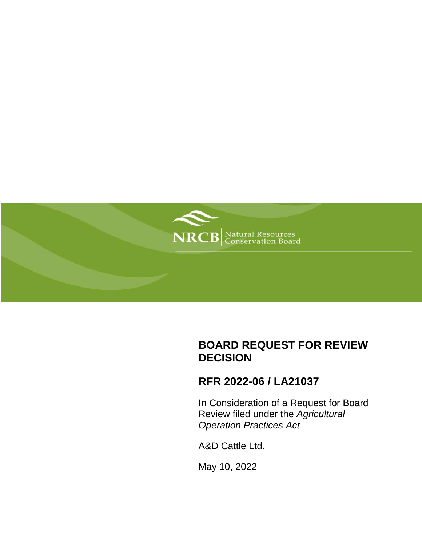

# **BOARD REQUEST FOR REVIEW DECISION**

## **RFR 2022-06 / LA21037**

In Consideration of a Request for Board Review filed under the *Agricultural Operation Practices Act*

A&D Cattle Ltd.

May 10, 2022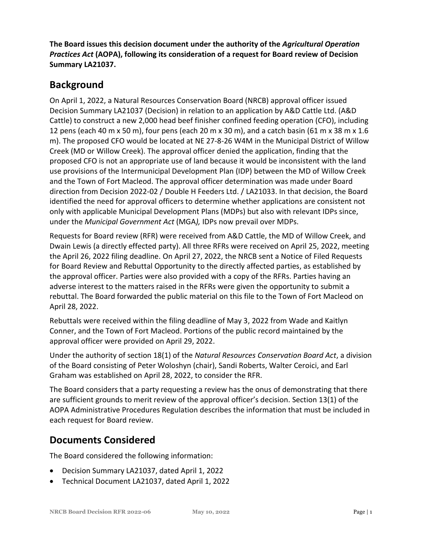**The Board issues this decision document under the authority of the** *Agricultural Operation Practices Act* **(AOPA), following its consideration of a request for Board review of Decision Summary LA21037.**

### **Background**

On April 1, 2022, a Natural Resources Conservation Board (NRCB) approval officer issued Decision Summary LA21037 (Decision) in relation to an application by A&D Cattle Ltd. (A&D Cattle) to construct a new 2,000 head beef finisher confined feeding operation (CFO), including 12 pens (each 40 m x 50 m), four pens (each 20 m x 30 m), and a catch basin (61 m x 38 m x 1.6 m). The proposed CFO would be located at NE 27-8-26 W4M in the Municipal District of Willow Creek (MD or Willow Creek). The approval officer denied the application, finding that the proposed CFO is not an appropriate use of land because it would be inconsistent with the land use provisions of the Intermunicipal Development Plan (IDP) between the MD of Willow Creek and the Town of Fort Macleod. The approval officer determination was made under Board direction from Decision 2022-02 / Double H Feeders Ltd. / LA21033. In that decision, the Board identified the need for approval officers to determine whether applications are consistent not only with applicable Municipal Development Plans (MDPs) but also with relevant IDPs since, under the *Municipal Government Act* (MGA*),* IDPs now prevail over MDPs.

Requests for Board review (RFR) were received from A&D Cattle, the MD of Willow Creek, and Dwain Lewis (a directly effected party). All three RFRs were received on April 25, 2022, meeting the April 26, 2022 filing deadline. On April 27, 2022, the NRCB sent a Notice of Filed Requests for Board Review and Rebuttal Opportunity to the directly affected parties, as established by the approval officer. Parties were also provided with a copy of the RFRs. Parties having an adverse interest to the matters raised in the RFRs were given the opportunity to submit a rebuttal. The Board forwarded the public material on this file to the Town of Fort Macleod on April 28, 2022.

Rebuttals were received within the filing deadline of May 3, 2022 from Wade and Kaitlyn Conner, and the Town of Fort Macleod. Portions of the public record maintained by the approval officer were provided on April 29, 2022.

Under the authority of section 18(1) of the *Natural Resources Conservation Board Act*, a division of the Board consisting of Peter Woloshyn (chair), Sandi Roberts, Walter Ceroici, and Earl Graham was established on April 28, 2022, to consider the RFR.

The Board considers that a party requesting a review has the onus of demonstrating that there are sufficient grounds to merit review of the approval officer's decision. Section 13(1) of the AOPA Administrative Procedures Regulation describes the information that must be included in each request for Board review.

## **Documents Considered**

The Board considered the following information:

- Decision Summary LA21037, dated April 1, 2022
- Technical Document LA21037, dated April 1, 2022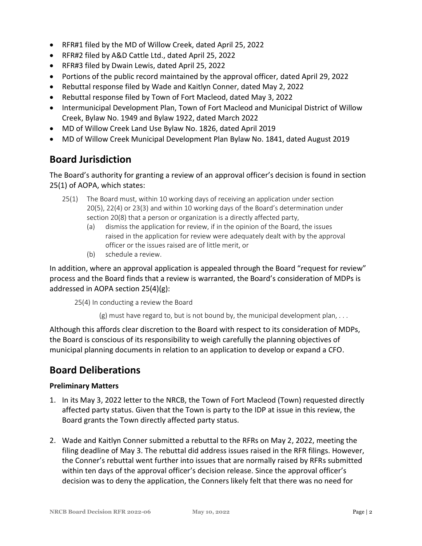- RFR#1 filed by the MD of Willow Creek, dated April 25, 2022
- RFR#2 filed by A&D Cattle Ltd., dated April 25, 2022
- RFR#3 filed by Dwain Lewis, dated April 25, 2022
- Portions of the public record maintained by the approval officer, dated April 29, 2022
- Rebuttal response filed by Wade and Kaitlyn Conner, dated May 2, 2022
- Rebuttal response filed by Town of Fort Macleod, dated May 3, 2022
- Intermunicipal Development Plan, Town of Fort Macleod and Municipal District of Willow Creek, Bylaw No. 1949 and Bylaw 1922, dated March 2022
- MD of Willow Creek Land Use Bylaw No. 1826, dated April 2019
- MD of Willow Creek Municipal Development Plan Bylaw No. 1841, dated August 2019

### **Board Jurisdiction**

The Board's authority for granting a review of an approval officer's decision is found in section 25(1) of AOPA, which states:

- 25(1) The Board must, within 10 working days of receiving an application under section 20(5), 22(4) or 23(3) and within 10 working days of the Board's determination under section 20(8) that a person or organization is a directly affected party,
	- (a) dismiss the application for review, if in the opinion of the Board, the issues raised in the application for review were adequately dealt with by the approval officer or the issues raised are of little merit, or
	- (b) schedule a review.

In addition, where an approval application is appealed through the Board "request for review" process and the Board finds that a review is warranted, the Board's consideration of MDPs is addressed in AOPA section 25(4)(g):

25(4) In conducting a review the Board

 $(g)$  must have regard to, but is not bound by, the municipal development plan,  $\dots$ 

Although this affords clear discretion to the Board with respect to its consideration of MDPs, the Board is conscious of its responsibility to weigh carefully the planning objectives of municipal planning documents in relation to an application to develop or expand a CFO.

### **Board Deliberations**

### **Preliminary Matters**

- 1. In its May 3, 2022 letter to the NRCB, the Town of Fort Macleod (Town) requested directly affected party status. Given that the Town is party to the IDP at issue in this review, the Board grants the Town directly affected party status.
- 2. Wade and Kaitlyn Conner submitted a rebuttal to the RFRs on May 2, 2022, meeting the filing deadline of May 3. The rebuttal did address issues raised in the RFR filings. However, the Conner's rebuttal went further into issues that are normally raised by RFRs submitted within ten days of the approval officer's decision release. Since the approval officer's decision was to deny the application, the Conners likely felt that there was no need for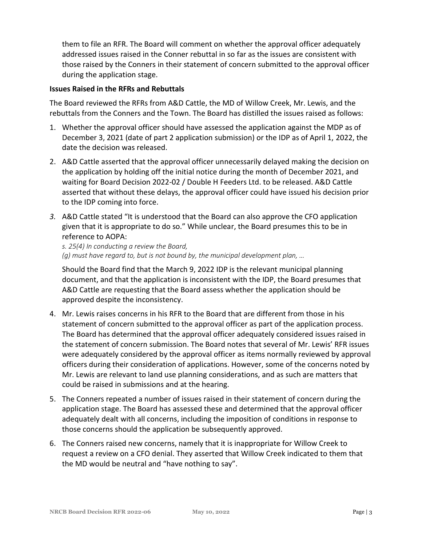them to file an RFR. The Board will comment on whether the approval officer adequately addressed issues raised in the Conner rebuttal in so far as the issues are consistent with those raised by the Conners in their statement of concern submitted to the approval officer during the application stage.

#### **Issues Raised in the RFRs and Rebuttals**

The Board reviewed the RFRs from A&D Cattle, the MD of Willow Creek, Mr. Lewis, and the rebuttals from the Conners and the Town. The Board has distilled the issues raised as follows:

- 1. Whether the approval officer should have assessed the application against the MDP as of December 3, 2021 (date of part 2 application submission) or the IDP as of April 1, 2022, the date the decision was released.
- 2. A&D Cattle asserted that the approval officer unnecessarily delayed making the decision on the application by holding off the initial notice during the month of December 2021, and waiting for Board Decision 2022-02 / Double H Feeders Ltd. to be released. A&D Cattle asserted that without these delays, the approval officer could have issued his decision prior to the IDP coming into force.
- *3.* A&D Cattle stated "It is understood that the Board can also approve the CFO application given that it is appropriate to do so." While unclear, the Board presumes this to be in reference to AOPA:

*s. 25(4) In conducting a review the Board, (g) must have regard to, but is not bound by, the municipal development plan, …*

Should the Board find that the March 9, 2022 IDP is the relevant municipal planning document, and that the application is inconsistent with the IDP, the Board presumes that A&D Cattle are requesting that the Board assess whether the application should be approved despite the inconsistency.

- 4. Mr. Lewis raises concerns in his RFR to the Board that are different from those in his statement of concern submitted to the approval officer as part of the application process. The Board has determined that the approval officer adequately considered issues raised in the statement of concern submission. The Board notes that several of Mr. Lewis' RFR issues were adequately considered by the approval officer as items normally reviewed by approval officers during their consideration of applications. However, some of the concerns noted by Mr. Lewis are relevant to land use planning considerations, and as such are matters that could be raised in submissions and at the hearing.
- 5. The Conners repeated a number of issues raised in their statement of concern during the application stage. The Board has assessed these and determined that the approval officer adequately dealt with all concerns, including the imposition of conditions in response to those concerns should the application be subsequently approved.
- 6. The Conners raised new concerns, namely that it is inappropriate for Willow Creek to request a review on a CFO denial. They asserted that Willow Creek indicated to them that the MD would be neutral and "have nothing to say".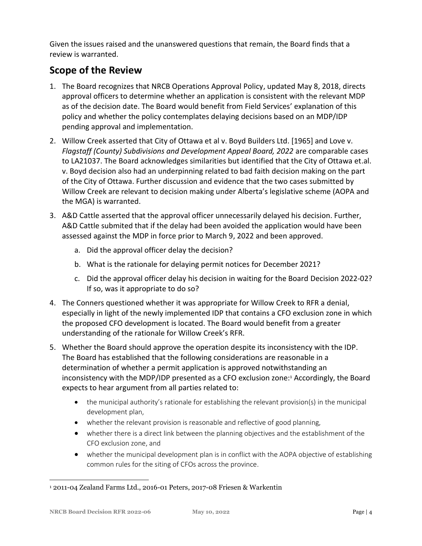Given the issues raised and the unanswered questions that remain, the Board finds that a review is warranted.

### **Scope of the Review**

- 1. The Board recognizes that NRCB Operations Approval Policy, updated May 8, 2018, directs approval officers to determine whether an application is consistent with the relevant MDP as of the decision date. The Board would benefit from Field Services' explanation of this policy and whether the policy contemplates delaying decisions based on an MDP/IDP pending approval and implementation.
- 2. Willow Creek asserted that City of Ottawa et al v. Boyd Builders Ltd. [1965] and Love v. *Flagstaff (County) Subdivisions and Development Appeal Board, 2022* are comparable cases to LA21037. The Board acknowledges similarities but identified that the City of Ottawa et.al. v. Boyd decision also had an underpinning related to bad faith decision making on the part of the City of Ottawa. Further discussion and evidence that the two cases submitted by Willow Creek are relevant to decision making under Alberta's legislative scheme (AOPA and the MGA) is warranted.
- 3. A&D Cattle asserted that the approval officer unnecessarily delayed his decision. Further, A&D Cattle submited that if the delay had been avoided the application would have been assessed against the MDP in force prior to March 9, 2022 and been approved.
	- a. Did the approval officer delay the decision?
	- b. What is the rationale for delaying permit notices for December 2021?
	- c. Did the approval officer delay his decision in waiting for the Board Decision 2022-02? If so, was it appropriate to do so?
- 4. The Conners questioned whether it was appropriate for Willow Creek to RFR a denial, especially in light of the newly implemented IDP that contains a CFO exclusion zone in which the proposed CFO development is located. The Board would benefit from a greater understanding of the rationale for Willow Creek's RFR.
- 5. Whether the Board should approve the operation despite its inconsistency with the IDP. The Board has established that the following considerations are reasonable in a determination of whether a permit application is approved notwithstanding an inconsistency with the MDP/IDP presented as a CFO exclusion zone:<sup>1</sup> Accordingly, the Board expects to hear argument from all parties related to:
	- the municipal authority's rationale for establishing the relevant provision(s) in the municipal development plan,
	- whether the relevant provision is reasonable and reflective of good planning,
	- whether there is a direct link between the planning objectives and the establishment of the CFO exclusion zone, and
	- whether the municipal development plan is in conflict with the AOPA objective of establishing common rules for the siting of CFOs across the province.

 $\overline{a}$ <sup>1</sup> 2011-04 Zealand Farms Ltd., 2016-01 Peters, 2017-08 Friesen & Warkentin